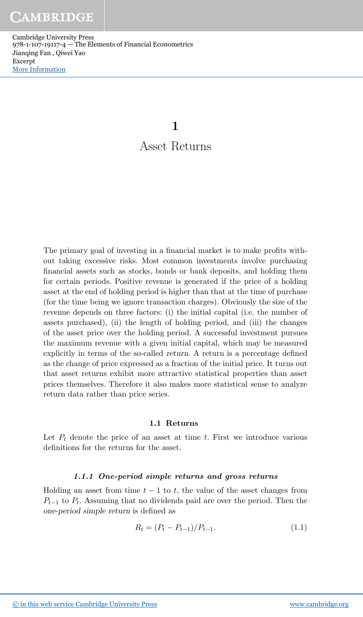Cambridge University Press 978-1-107-19117-4 — The Elements of Financial Econometrics Jianqing Fan , Qiwei Yao Excerpt [More Information](www.cambridge.org/9781107191174)

1

# Asset Returns

The primary goal of investing in a financial market is to make profits without taking excessive risks. Most common investments involve purchasing financial assets such as stocks, bonds or bank deposits, and holding them for certain periods. Positive revenue is generated if the price of a holding asset at the end of holding period is higher than that at the time of purchase (for the time being we ignore transaction charges). Obviously the size of the revenue depends on three factors: (i) the initial capital (i.e. the number of assets purchased), (ii) the length of holding period, and (iii) the changes of the asset price over the holding period. A successful investment pursues the maximum revenue with a given initial capital, which may be measured explicitly in terms of the so-called return. A return is a percentage defined as the change of price expressed as a fraction of the initial price. It turns out that asset returns exhibit more attractive statistical properties than asset prices themselves. Therefore it also makes more statistical sense to analyze return data rather than price series.

# 1.1 Returns

Let  $P_t$  denote the price of an asset at time t. First we introduce various definitions for the returns for the asset.

# 1.1.1 One-period simple returns and gross returns

Holding an asset from time  $t - 1$  to  $t$ , the value of the asset changes from  $P_{t-1}$  to  $P_t$ . Assuming that no dividends paid are over the period. Then the one-period simple return is defined as

$$
R_t = (P_t - P_{t-1})/P_{t-1}.
$$
\n(1.1)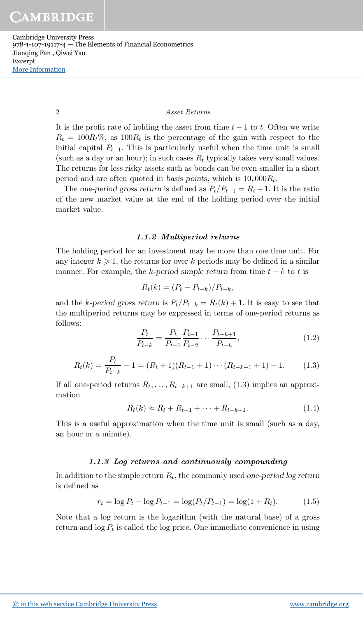Cambridge University Press 978-1-107-19117-4 — The Elements of Financial Econometrics Jianqing Fan , Qiwei Yao Excerpt [More Information](www.cambridge.org/9781107191174)

## 2 Asset Returns

It is the profit rate of holding the asset from time  $t - 1$  to t. Often we write  $R_t = 100R_t\%$ , as  $100R_t$  is the percentage of the gain with respect to the initial capital  $P_{t-1}$ . This is particularly useful when the time unit is small (such as a day or an hour); in such cases  $R_t$  typically takes very small values. The returns for less risky assets such as bonds can be even smaller in a short period and are often quoted in basis points, which is  $10,000R_t$ .

The one-period gross return is defined as  $P_t/P_{t-1} = R_t + 1$ . It is the ratio of the new market value at the end of the holding period over the initial market value.

## 1.1.2 Multiperiod returns

The holding period for an investment may be more than one time unit. For any integer  $k \geqslant 1$ , the returns for over k periods may be defined in a similar manner. For example, the k-period simple return from time  $t - k$  to t is

$$
R_t(k) = (P_t - P_{t-k})/P_{t-k},
$$

and the k-period gross return is  $P_t/P_{t-k} = R_t(k) + 1$ . It is easy to see that the multiperiod returns may be expressed in terms of one-period returns as follows:

$$
\frac{P_t}{P_{t-k}} = \frac{P_t}{P_{t-1}} \frac{P_{t-1}}{P_{t-2}} \cdots \frac{P_{t-k+1}}{P_{t-k}},
$$
\n(1.2)

$$
R_t(k) = \frac{P_t}{P_{t-k}} - 1 = (R_t + 1)(R_{t-1} + 1) \cdots (R_{t-k+1} + 1) - 1.
$$
 (1.3)

If all one-period returns  $R_t, \ldots, R_{t-k+1}$  are small, (1.3) implies an approximation

$$
R_t(k) \approx R_t + R_{t-1} + \dots + R_{t-k+1}.
$$
\n(1.4)

This is a useful approximation when the time unit is small (such as a day, an hour or a minute).

#### 1.1.3 Log returns and continuously compounding

In addition to the simple return  $R_t$ , the commonly used one-period log return is defined as

$$
r_t = \log P_t - \log P_{t-1} = \log(P_t/P_{t-1}) = \log(1 + R_t). \tag{1.5}
$$

Note that a log return is the logarithm (with the natural base) of a gross return and  $\log P_t$  is called the log price. One immediate convenience in using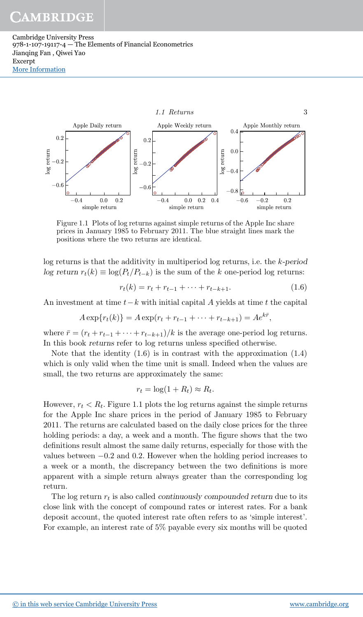Cambridge University Press 978-1-107-19117-4 — The Elements of Financial Econometrics Jianqing Fan , Qiwei Yao Excerpt [More Information](www.cambridge.org/9781107191174)



Figure 1.1 Plots of log returns against simple returns of the Apple Inc share prices in January 1985 to February 2011. The blue straight lines mark the positions where the two returns are identical.

log returns is that the additivity in multiperiod log returns, i.e. the k-period log return  $r_t(k) \equiv \log(P_t/P_{t-k})$  is the sum of the k one-period log returns:

$$
r_t(k) = r_t + r_{t-1} + \dots + r_{t-k+1}.
$$
\n(1.6)

,

An investment at time  $t-k$  with initial capital A yields at time t the capital

$$
A \exp\{r_t(k)\} = A \exp(r_t + r_{t-1} + \dots + r_{t-k+1}) = Ae^{k\bar{r}}
$$

where  $\bar{r} = (r_t + r_{t-1} + \cdots + r_{t-k+1})/k$  is the average one-period log returns. In this book returns refer to log returns unless specified otherwise.

Note that the identity  $(1.6)$  is in contrast with the approximation  $(1.4)$ which is only valid when the time unit is small. Indeed when the values are small, the two returns are approximately the same:

$$
r_t = \log(1 + R_t) \approx R_t.
$$

However,  $r_t < R_t$ . Figure 1.1 plots the log returns against the simple returns for the Apple Inc share prices in the period of January 1985 to February 2011. The returns are calculated based on the daily close prices for the three holding periods: a day, a week and a month. The figure shows that the two definitions result almost the same daily returns, especially for those with the values between −0.2 and 0.2. However when the holding period increases to a week or a month, the discrepancy between the two definitions is more apparent with a simple return always greater than the corresponding log return.

The log return  $r_t$  is also called *continuously compounded return* due to its close link with the concept of compound rates or interest rates. For a bank deposit account, the quoted interest rate often refers to as 'simple interest'. For example, an interest rate of 5% payable every six months will be quoted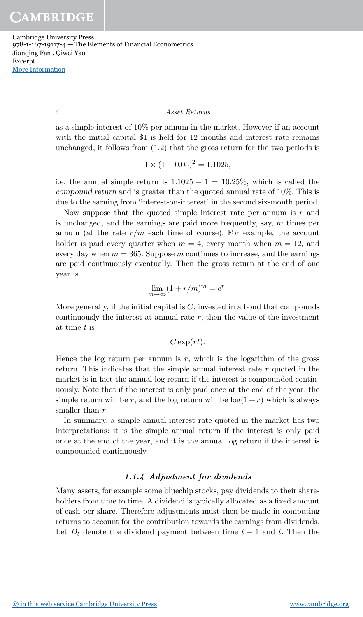Cambridge University Press 978-1-107-19117-4 — The Elements of Financial Econometrics Jianqing Fan , Qiwei Yao Excerpt [More Information](www.cambridge.org/9781107191174)

#### 4 Asset Returns

as a simple interest of 10% per annum in the market. However if an account with the initial capital \$1 is held for 12 months and interest rate remains unchanged, it follows from (1.2) that the gross return for the two periods is

$$
1 \times (1 + 0.05)^2 = 1.1025,
$$

i.e. the annual simple return is  $1.1025 - 1 = 10.25\%$ , which is called the compound return and is greater than the quoted annual rate of 10%. This is due to the earning from 'interest-on-interest' in the second six-month period.

Now suppose that the quoted simple interest rate per annum is  $r$  and is unchanged, and the earnings are paid more frequently, say,  $m$  times per annum (at the rate  $r/m$  each time of course). For example, the account holder is paid every quarter when  $m = 4$ , every month when  $m = 12$ , and every day when  $m = 365$ . Suppose m continues to increase, and the earnings are paid continuously eventually. Then the gross return at the end of one year is

$$
\lim_{m \to \infty} (1 + r/m)^m = e^r.
$$

More generally, if the initial capital is  $C$ , invested in a bond that compounds continuously the interest at annual rate  $r$ , then the value of the investment at time t is

$$
C\exp(rt).
$$

Hence the log return per annum is  $r$ , which is the logarithm of the gross return. This indicates that the simple annual interest rate  $r$  quoted in the market is in fact the annual log return if the interest is compounded continuously. Note that if the interest is only paid once at the end of the year, the simple return will be r, and the log return will be  $log(1+r)$  which is always smaller than  $r$ .

In summary, a simple annual interest rate quoted in the market has two interpretations: it is the simple annual return if the interest is only paid once at the end of the year, and it is the annual log return if the interest is compounded continuously.

## 1.1.4 Adjustment for dividends

Many assets, for example some bluechip stocks, pay dividends to their shareholders from time to time. A dividend is typically allocated as a fixed amount of cash per share. Therefore adjustments must then be made in computing returns to account for the contribution towards the earnings from dividends. Let  $D_t$  denote the dividend payment between time  $t-1$  and t. Then the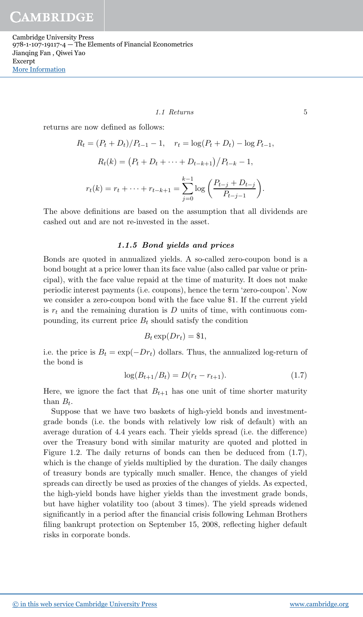Cambridge University Press 978-1-107-19117-4 — The Elements of Financial Econometrics Jianqing Fan , Qiwei Yao Excerpt [More Information](www.cambridge.org/9781107191174)

#### 1.1 Returns 5

returns are now defined as follows:

$$
R_t = (P_t + D_t)/P_{t-1} - 1, \quad r_t = \log(P_t + D_t) - \log P_{t-1},
$$
  

$$
R_t(k) = (P_t + D_t + \dots + D_{t-k+1})/P_{t-k} - 1,
$$
  

$$
r_t(k) = r_t + \dots + r_{t-k+1} = \sum_{j=0}^{k-1} \log\left(\frac{P_{t-j} + D_{t-j}}{P_{t-j-1}}\right).
$$

The above definitions are based on the assumption that all dividends are cashed out and are not re-invested in the asset.

## 1.1.5 Bond yields and prices

Bonds are quoted in annualized yields. A so-called zero-coupon bond is a bond bought at a price lower than its face value (also called par value or principal), with the face value repaid at the time of maturity. It does not make periodic interest payments (i.e. coupons), hence the term 'zero-coupon'. Now we consider a zero-coupon bond with the face value \$1. If the current yield is  $r_t$  and the remaining duration is D units of time, with continuous compounding, its current price  $B_t$  should satisfy the condition

$$
B_t \exp(Dr_t) = \$1,
$$

i.e. the price is  $B_t = \exp(-Dr_t)$  dollars. Thus, the annualized log-return of the bond is

$$
\log(B_{t+1}/B_t) = D(r_t - r_{t+1}).\tag{1.7}
$$

Here, we ignore the fact that  $B_{t+1}$  has one unit of time shorter maturity than  $B_t$ .

Suppose that we have two baskets of high-yield bonds and investmentgrade bonds (i.e. the bonds with relatively low risk of default) with an average duration of 4.4 years each. Their yields spread (i.e. the difference) over the Treasury bond with similar maturity are quoted and plotted in Figure 1.2. The daily returns of bonds can then be deduced from (1.7), which is the change of yields multiplied by the duration. The daily changes of treasury bonds are typically much smaller. Hence, the changes of yield spreads can directly be used as proxies of the changes of yields. As expected, the high-yield bonds have higher yields than the investment grade bonds, but have higher volatility too (about 3 times). The yield spreads widened significantly in a period after the financial crisis following Lehman Brothers filing bankrupt protection on September 15, 2008, reflecting higher default risks in corporate bonds.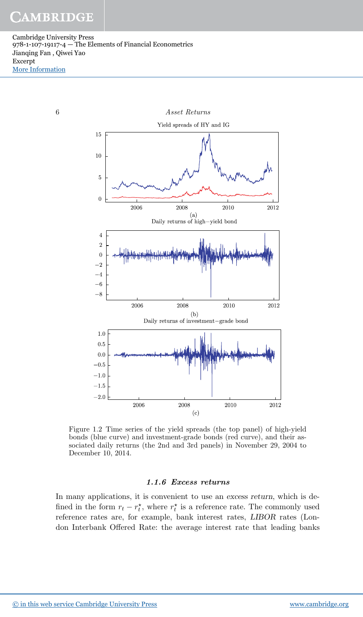Cambridge University Press 978-1-107-19117-4 — The Elements of Financial Econometrics Jianqing Fan , Qiwei Yao Excerpt [More Information](www.cambridge.org/9781107191174)



Figure 1.2 Time series of the yield spreads (the top panel) of high-yield bonds (blue curve) and investment-grade bonds (red curve), and their associated daily returns (the 2nd and 3rd panels) in November 29, 2004 to December 10, 2014.

## 1.1.6 Excess returns

In many applications, it is convenient to use an excess return, which is defined in the form  $r_t - r_t^*$ , where  $r_t^*$  is a reference rate. The commonly used reference rates are, for example, bank interest rates, LIBOR rates (London Interbank Offered Rate: the average interest rate that leading banks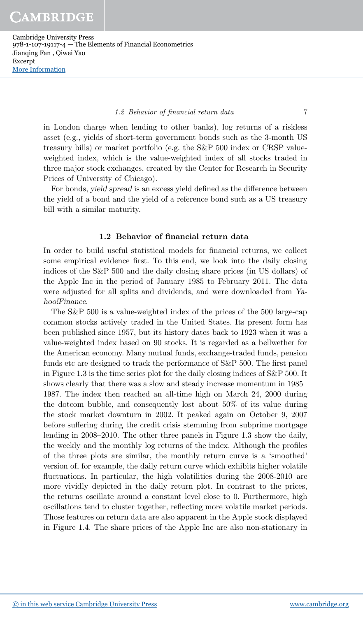Cambridge University Press 978-1-107-19117-4 — The Elements of Financial Econometrics Jianqing Fan , Qiwei Yao Excerpt [More Information](www.cambridge.org/9781107191174)

#### 1.2 Behavior of financial return data 7

in London charge when lending to other banks), log returns of a riskless asset (e.g., yields of short-term government bonds such as the 3-month US treasury bills) or market portfolio (e.g. the S&P 500 index or CRSP valueweighted index, which is the value-weighted index of all stocks traded in three major stock exchanges, created by the Center for Research in Security Prices of University of Chicago).

For bonds, yield spread is an excess yield defined as the difference between the yield of a bond and the yield of a reference bond such as a US treasury bill with a similar maturity.

## 1.2 Behavior of financial return data

In order to build useful statistical models for financial returns, we collect some empirical evidence first. To this end, we look into the daily closing indices of the S&P 500 and the daily closing share prices (in US dollars) of the Apple Inc in the period of January 1985 to February 2011. The data were adjusted for all splits and dividends, and were downloaded from Yahoo!Finance.

The S&P 500 is a value-weighted index of the prices of the 500 large-cap common stocks actively traded in the United States. Its present form has been published since 1957, but its history dates back to 1923 when it was a value-weighted index based on 90 stocks. It is regarded as a bellwether for the American economy. Many mutual funds, exchange-traded funds, pension funds etc are designed to track the performance of S&P 500. The first panel in Figure 1.3 is the time series plot for the daily closing indices of S&P 500. It shows clearly that there was a slow and steady increase momentum in 1985– 1987. The index then reached an all-time high on March 24, 2000 during the dotcom bubble, and consequently lost about 50% of its value during the stock market downturn in 2002. It peaked again on October 9, 2007 before suffering during the credit crisis stemming from subprime mortgage lending in 2008–2010. The other three panels in Figure 1.3 show the daily, the weekly and the monthly log returns of the index. Although the profiles of the three plots are similar, the monthly return curve is a 'smoothed' version of, for example, the daily return curve which exhibits higher volatile fluctuations. In particular, the high volatilities during the 2008-2010 are more vividly depicted in the daily return plot. In contrast to the prices, the returns oscillate around a constant level close to 0. Furthermore, high oscillations tend to cluster together, reflecting more volatile market periods. Those features on return data are also apparent in the Apple stock displayed in Figure 1.4. The share prices of the Apple Inc are also non-stationary in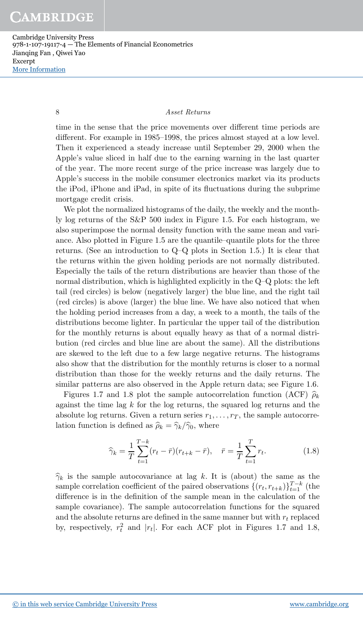Cambridge University Press 978-1-107-19117-4 — The Elements of Financial Econometrics Jianqing Fan , Qiwei Yao Excerpt [More Information](www.cambridge.org/9781107191174)

## 8 Asset Returns

time in the sense that the price movements over different time periods are different. For example in 1985–1998, the prices almost stayed at a low level. Then it experienced a steady increase until September 29, 2000 when the Apple's value sliced in half due to the earning warning in the last quarter of the year. The more recent surge of the price increase was largely due to Apple's success in the mobile consumer electronics market via its products the iPod, iPhone and iPad, in spite of its fluctuations during the subprime mortgage credit crisis.

We plot the normalized histograms of the daily, the weekly and the monthly log returns of the S&P 500 index in Figure 1.5. For each histogram, we also superimpose the normal density function with the same mean and variance. Also plotted in Figure 1.5 are the quantile–quantile plots for the three returns. (See an introduction to Q–Q plots in Section 1.5.) It is clear that the returns within the given holding periods are not normally distributed. Especially the tails of the return distributions are heavier than those of the normal distribution, which is highlighted explicitly in the Q–Q plots: the left tail (red circles) is below (negatively larger) the blue line, and the right tail (red circles) is above (larger) the blue line. We have also noticed that when the holding period increases from a day, a week to a month, the tails of the distributions become lighter. In particular the upper tail of the distribution for the monthly returns is about equally heavy as that of a normal distribution (red circles and blue line are about the same). All the distributions are skewed to the left due to a few large negative returns. The histograms also show that the distribution for the monthly returns is closer to a normal distribution than those for the weekly returns and the daily returns. The similar patterns are also observed in the Apple return data; see Figure 1.6.

Figures 1.7 and 1.8 plot the sample autocorrelation function (ACF)  $\hat{\rho}_k$ against the time lag  $k$  for the log returns, the squared log returns and the absolute log returns. Given a return series  $r_1, \ldots, r_T$ , the sample autocorrelation function is defined as  $\hat{\rho}_k = \hat{\gamma}_k / \hat{\gamma}_0$ , where

$$
\widehat{\gamma}_k = \frac{1}{T} \sum_{t=1}^{T-k} (r_t - \bar{r})(r_{t+k} - \bar{r}), \quad \bar{r} = \frac{1}{T} \sum_{t=1}^{T} r_t.
$$
 (1.8)

 $\hat{\gamma}_k$  is the sample autocovariance at lag k. It is (about) the same as the sample correlation coefficient of the paired observations  $\{(r_t, r_{t+k})\}_{t=1}^{T-k}$  (the difference is in the definition of the sample mean in the calculation of the sample covariance). The sample autocorrelation functions for the squared and the absolute returns are defined in the same manner but with  $r_t$  replaced by, respectively,  $r_t^2$  and  $|r_t|$ . For each ACF plot in Figures 1.7 and 1.8,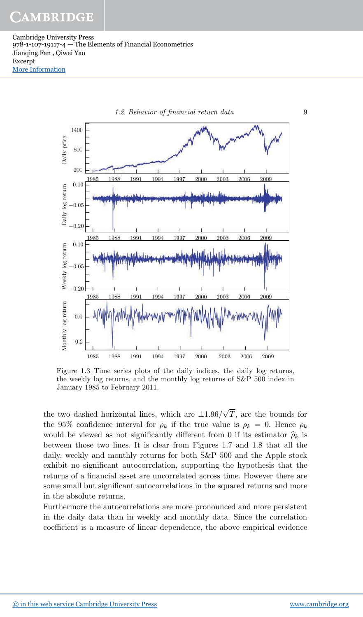Cambridge University Press 978-1-107-19117-4 — The Elements of Financial Econometrics Jianqing Fan , Qiwei Yao Excerpt [More Information](www.cambridge.org/9781107191174)



Figure 1.3 Time series plots of the daily indices, the daily log returns, the weekly log returns, and the monthly log returns of S&P 500 index in January 1985 to February 2011.

the two dashed horizontal lines, which are  $\pm 1.96/\sqrt{T}$ , are the bounds for the 95% confidence interval for  $\rho_k$  if the true value is  $\rho_k = 0$ . Hence  $\rho_k$ would be viewed as not significantly different from 0 if its estimator  $\hat{\rho}_k$  is between those two lines. It is clear from Figures 1.7 and 1.8 that all the daily, weekly and monthly returns for both S&P 500 and the Apple stock exhibit no significant autocorrelation, supporting the hypothesis that the returns of a financial asset are uncorrelated across time. However there are some small but significant autocorrelations in the squared returns and more in the absolute returns.

Furthermore the autocorrelations are more pronounced and more persistent in the daily data than in weekly and monthly data. Since the correlation coefficient is a measure of linear dependence, the above empirical evidence